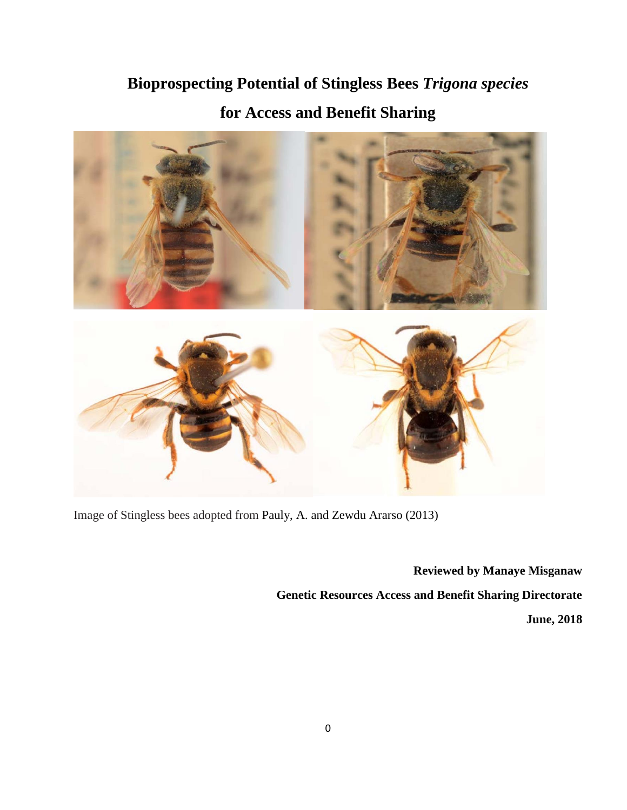# **Bioprospecting Potential of Stingless Bees** *Trigona species* **for Access and Benefit Sharing**



Image of Stingless bees adopted from Pauly, A. and Zewdu Ararso (2013)

**Reviewed by Manaye Misganaw Genetic Resources Access and Benefit Sharing Directorate June, 2018**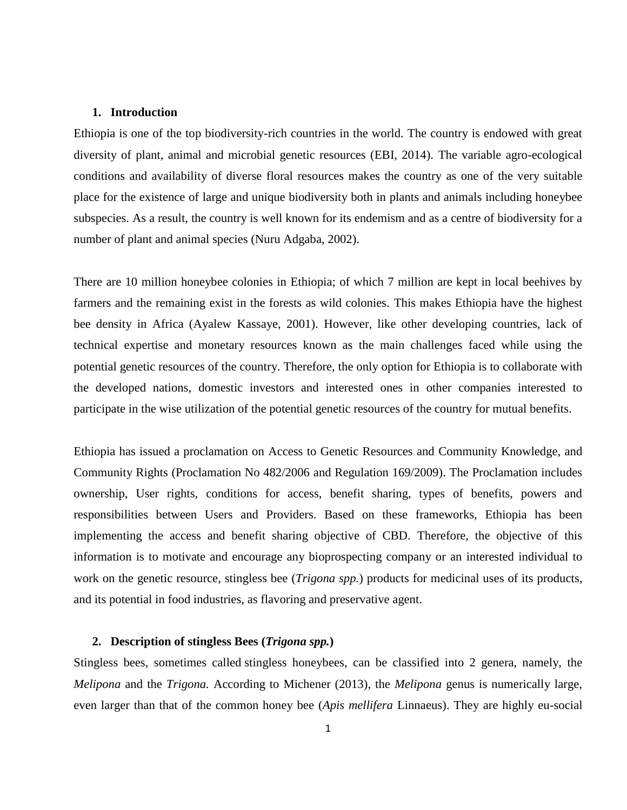#### **1. Introduction**

Ethiopia is one of the top biodiversity-rich countries in the world. The country is endowed with great diversity of plant, animal and microbial genetic resources (EBI, 2014). The variable agro-ecological conditions and availability of diverse floral resources makes the country as one of the very suitable place for the existence of large and unique biodiversity both in plants and animals including honeybee subspecies. As a result, the country is well known for its endemism and as a centre of biodiversity for a number of plant and animal species (Nuru Adgaba, 2002).

There are 10 million honeybee colonies in Ethiopia; of which 7 million are kept in local beehives by farmers and the remaining exist in the forests as wild colonies. This makes Ethiopia have the highest bee density in Africa (Ayalew Kassaye, 2001). However, like other developing countries, lack of technical expertise and monetary resources known as the main challenges faced while using the potential genetic resources of the country. Therefore, the only option for Ethiopia is to collaborate with the developed nations, domestic investors and interested ones in other companies interested to participate in the wise utilization of the potential genetic resources of the country for mutual benefits.

Ethiopia has issued a proclamation on Access to Genetic Resources and Community Knowledge, and Community Rights (Proclamation No 482/2006 and Regulation 169/2009). The Proclamation includes ownership, User rights, conditions for access, benefit sharing, types of benefits, powers and responsibilities between Users and Providers. Based on these frameworks, Ethiopia has been implementing the access and benefit sharing objective of CBD. Therefore, the objective of this information is to motivate and encourage any bioprospecting company or an interested individual to work on the genetic resource, stingless bee (*Trigona spp.*) products for medicinal uses of its products, and its potential in food industries, as flavoring and preservative agent.

#### **2. Description of stingless Bees (***Trigona spp.***)**

Stingless bees, sometimes called stingless honeybees, can be classified into 2 genera, namely, the *Melipona* and the *Trigona.* According to Michener (2013), the *Melipona* genus is numerically large, even larger than that of the common honey bee (*Apis mellifera* Linnaeus). They are highly eu-social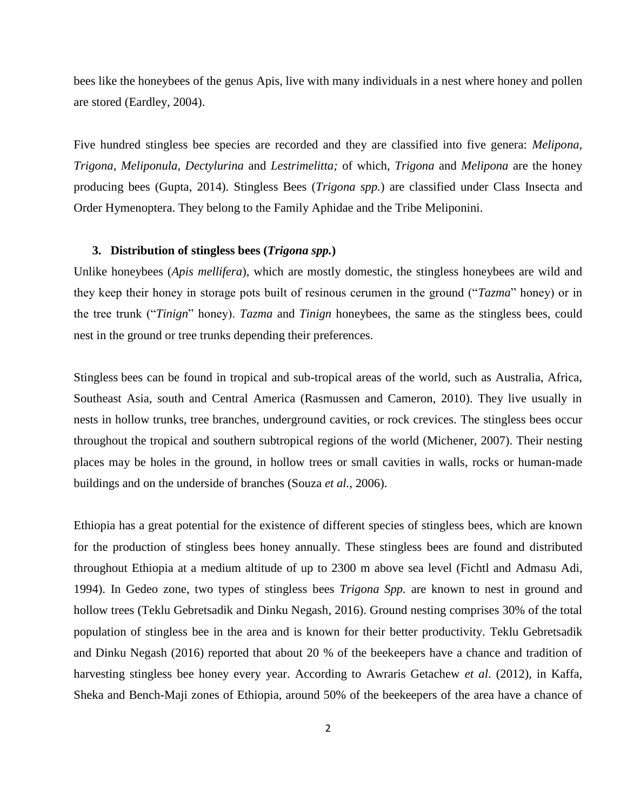bees like the honeybees of the genus Apis, live with many individuals in a nest where honey and pollen are stored (Eardley, 2004).

Five hundred stingless bee species are recorded and they are classified into five genera: *Melipona, Trigona, Meliponula, Dectylurina* and *Lestrimelitta;* of which, *Trigona* and *Melipona* are the honey producing bees (Gupta, 2014). Stingless Bees (*Trigona spp.*) are classified under Class Insecta and Order Hymenoptera. They belong to the Family Aphidae and the Tribe [Meliponini.](https://en.wikipedia.org/wiki/Apinae)

## **3. Distribution of stingless bees (***Trigona spp.***)**

Unlike honeybees (*Apis mellifera*), which are mostly domestic, the stingless honeybees are wild and they keep their honey in storage pots built of resinous cerumen in the ground ("*Tazma*" honey) or in the tree trunk ("*Tinign*" honey). *Tazma* and *Tinign* honeybees, the same as the stingless bees, could nest in the ground or tree trunks depending their preferences.

Stingless bees can be found in tropical and sub-tropical areas of the world, such as Australia, Africa, Southeast Asia, south and Central America (Rasmussen and Cameron, 2010). They live usually in nests in hollow trunks, tree branches, underground cavities, or rock crevices. The stingless bees occur throughout the tropical and southern subtropical regions of the world (Michener, 2007). Their nesting places may be holes in the ground, in hollow trees or small cavities in walls, rocks or human-made buildings and on the underside of branches (Souza *et al.,* 2006).

Ethiopia has a great potential for the existence of different species of stingless bees, which are known for the production of stingless bees honey annually. These stingless bees are found and distributed throughout Ethiopia at a medium altitude of up to 2300 m above sea level (Fichtl and Admasu Adi, 1994). In Gedeo zone, two types of stingless bees *Trigona Spp.* are known to nest in ground and hollow trees (Teklu Gebretsadik and Dinku Negash, 2016). Ground nesting comprises 30% of the total population of stingless bee in the area and is known for their better productivity. Teklu Gebretsadik and Dinku Negash (2016) reported that about 20 % of the beekeepers have a chance and tradition of harvesting stingless bee honey every year. According to Awraris Getachew *et al*. (2012), in Kaffa, Sheka and Bench-Maji zones of Ethiopia, around 50% of the beekeepers of the area have a chance of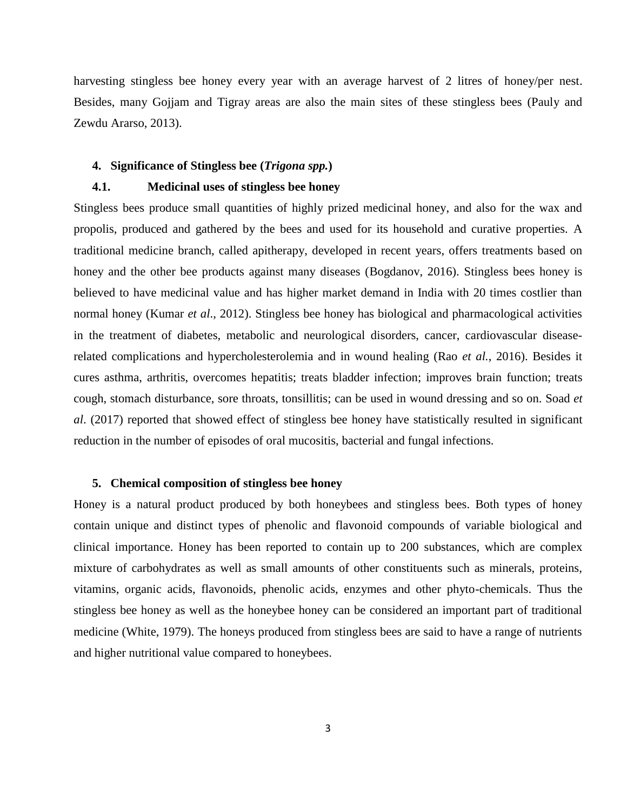harvesting stingless bee honey every year with an average harvest of 2 litres of honey/per nest. Besides, many Gojjam and Tigray areas are also the main sites of these stingless bees (Pauly and Zewdu Ararso, 2013).

#### **4. Significance of Stingless bee (***Trigona spp.***)**

## **4.1. Medicinal uses of stingless bee honey**

Stingless bees produce small quantities of highly prized medicinal honey, and also for the wax and propolis, produced and gathered by the bees and used for its household and curative properties. A traditional medicine branch, called apitherapy, developed in recent years, offers treatments based on honey and the other bee products against many diseases (Bogdanov, 2016). Stingless bees honey is believed to have medicinal value and has higher market demand in India with 20 times costlier than normal honey (Kumar *et al*., 2012). Stingless bee honey has biological and pharmacological activities in the treatment of diabetes, metabolic and neurological disorders, cancer, cardiovascular diseaserelated complications and hypercholesterolemia and in wound healing (Rao *et al.*, 2016). Besides it cures asthma, arthritis, overcomes hepatitis; treats bladder infection; improves brain function; treats cough, stomach disturbance, sore throats, tonsillitis; can be used in wound dressing and so on. Soad *et al*. (2017) reported that showed effect of stingless bee honey have statistically resulted in significant reduction in the number of episodes of oral mucositis, bacterial and fungal infections.

## **5. Chemical composition of stingless bee honey**

Honey is a natural product produced by both honeybees and stingless bees. Both types of honey contain unique and distinct types of phenolic and flavonoid compounds of variable biological and clinical importance. Honey has been reported to contain up to 200 substances, which are complex mixture of carbohydrates as well as small amounts of other constituents such as minerals, proteins, vitamins, organic acids, flavonoids, phenolic acids, enzymes and other phyto-chemicals. Thus the stingless bee honey as well as the honeybee honey can be considered an important part of traditional medicine (White, 1979). The honeys produced from stingless bees are said to have a range of nutrients and higher nutritional value compared to honeybees.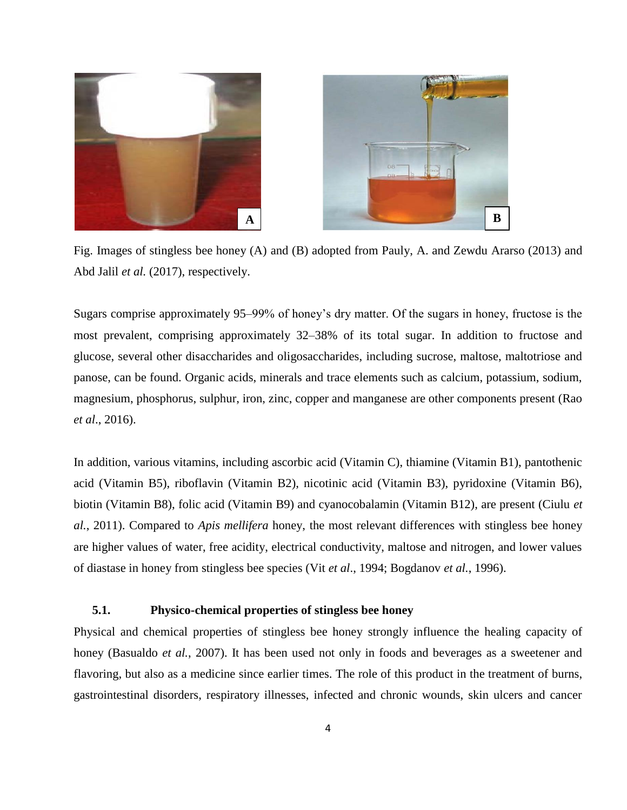

Fig. Images of stingless bee honey (A) and (B) adopted from Pauly, A. and Zewdu Ararso (2013) and Abd Jalil *et al.* (2017), respectively.

Sugars comprise approximately 95–99% of honey's dry matter. Of the sugars in honey, fructose is the most prevalent, comprising approximately 32–38% of its total sugar. In addition to fructose and glucose, several other disaccharides and oligosaccharides, including sucrose, maltose, maltotriose and panose, can be found. Organic acids, minerals and trace elements such as calcium, potassium, sodium, magnesium, phosphorus, sulphur, iron, zinc, copper and manganese are other components present (Rao *et al*., 2016).

In addition, various vitamins, including ascorbic acid (Vitamin C), thiamine (Vitamin B1), pantothenic acid (Vitamin B5), riboflavin (Vitamin B2), nicotinic acid (Vitamin B3), pyridoxine (Vitamin B6), biotin (Vitamin B8), folic acid (Vitamin B9) and cyanocobalamin (Vitamin B12), are present (Ciulu *et al.*, 2011). Compared to *Apis mellifera* honey, the most relevant differences with stingless bee honey are higher values of water, free acidity, electrical conductivity, maltose and nitrogen, and lower values of diastase in honey from stingless bee species (Vit *et al*., 1994; Bogdanov *et al.*, 1996).

# **5.1. Physico-chemical properties of stingless bee honey**

Physical and chemical properties of stingless bee honey strongly influence the healing capacity of honey (Basualdo *et al.*, 2007). It has been used not only in foods and beverages as a sweetener and flavoring, but also as a medicine since earlier times. The role of this product in the treatment of burns, gastrointestinal disorders, respiratory illnesses, infected and chronic wounds, skin ulcers and cancer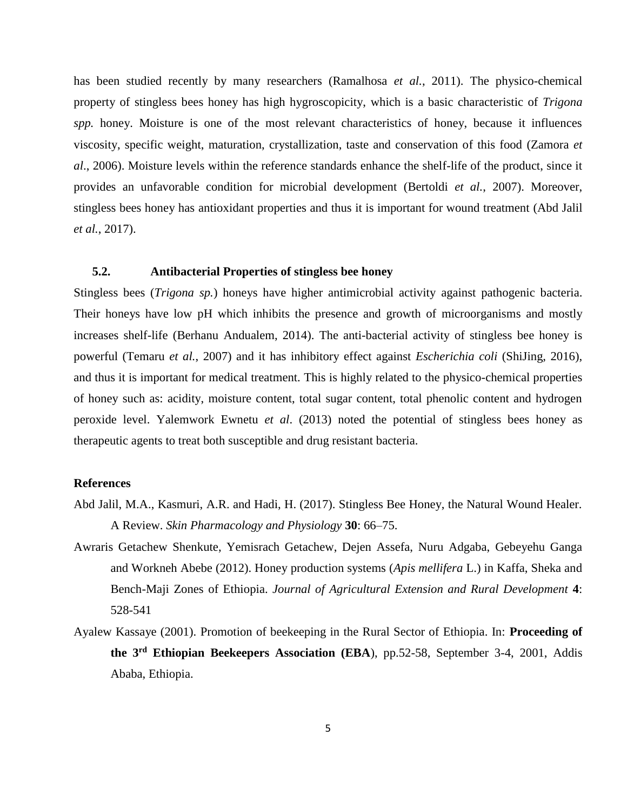has been studied recently by many researchers (Ramalhosa *et al.*, 2011). The physico-chemical property of stingless bees honey has high hygroscopicity, which is a basic characteristic of *Trigona spp.* honey. Moisture is one of the most relevant characteristics of honey, because it influences viscosity, specific weight, maturation, crystallization, taste and conservation of this food (Zamora *et al*., 2006). Moisture levels within the reference standards enhance the shelf-life of the product, since it provides an unfavorable condition for microbial development (Bertoldi *et al.*, 2007). Moreover, stingless bees honey has antioxidant properties and thus it is important for wound treatment (Abd Jalil *et al.*, 2017).

# **5.2. Antibacterial Properties of stingless bee honey**

Stingless bees (*Trigona sp.*) honeys have higher antimicrobial activity against pathogenic bacteria. Their honeys have low pH which inhibits the presence and growth of microorganisms and mostly increases shelf-life (Berhanu Andualem, 2014). The anti-bacterial activity of stingless bee honey is powerful (Temaru *et al.*, 2007) and it has inhibitory effect against *Escherichia coli* (ShiJing, 2016), and thus it is important for medical treatment. This is highly related to the physico-chemical properties of honey such as: acidity, moisture content, total sugar content, total phenolic content and hydrogen peroxide level. Yalemwork Ewnetu *et al*. (2013) noted the potential of stingless bees honey as therapeutic agents to treat both susceptible and drug resistant bacteria.

## **References**

- Abd Jalil, M.A., Kasmuri, A.R. and Hadi, H. (2017). Stingless Bee Honey, the Natural Wound Healer. A Review. *Skin Pharmacology and Physiology* **30**: 66–75.
- Awraris Getachew Shenkute, Yemisrach Getachew, Dejen Assefa, Nuru Adgaba, Gebeyehu Ganga and Workneh Abebe (2012). Honey production systems (*Apis mellifera* L.) in Kaffa, Sheka and Bench-Maji Zones of Ethiopia. *Journal of Agricultural Extension and Rural Development* **4**: 528-541
- Ayalew Kassaye (2001). Promotion of beekeeping in the Rural Sector of Ethiopia. In: **Proceeding of the 3rd Ethiopian Beekeepers Association (EBA**), pp.52-58, September 3-4, 2001, Addis Ababa, Ethiopia.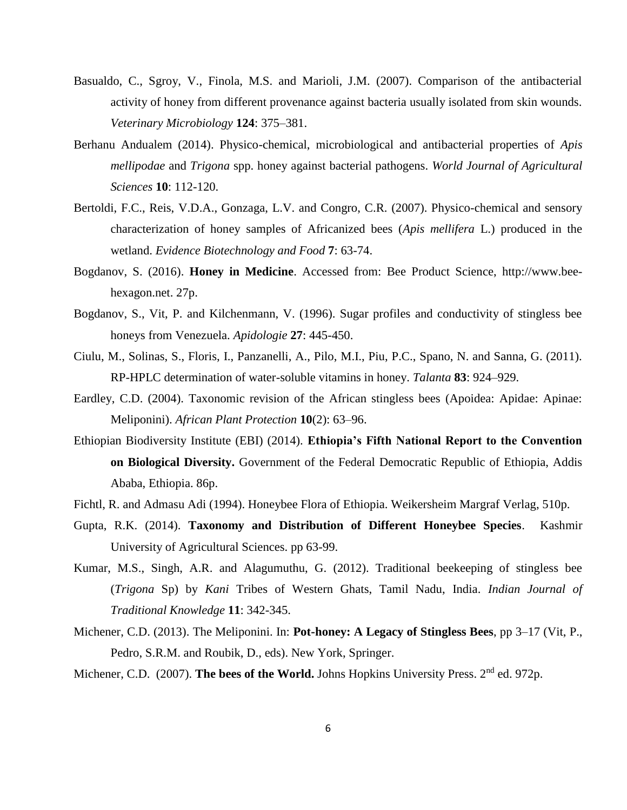- Basualdo, C., Sgroy, V., Finola, M.S. and Marioli, J.M. (2007). Comparison of the antibacterial activity of honey from different provenance against bacteria usually isolated from skin wounds. *Veterinary Microbiology* **124**: 375–381.
- Berhanu Andualem (2014). Physico-chemical, microbiological and antibacterial properties of *Apis mellipodae* and *Trigona* spp. honey against bacterial pathogens. *World Journal of Agricultural Sciences* **10**: 112-120.
- Bertoldi, F.C., Reis, V.D.A., Gonzaga, L.V. and Congro, C.R. (2007). Physico-chemical and sensory characterization of honey samples of Africanized bees (*Apis mellifera* L.) produced in the wetland. *Evidence Biotechnology and Food* **7**: 63-74.
- Bogdanov, S. (2016). **Honey in Medicine**. Accessed from: Bee Product Science, http:/[/www.bee](http://www.bee-hexagon.net/)[hexagon.net.](http://www.bee-hexagon.net/) 27p.
- Bogdanov, S., Vit, P. and Kilchenmann, V. (1996). Sugar profiles and conductivity of stingless bee honeys from Venezuela. *Apidologie* **27**: 445-450.
- Ciulu, M., Solinas, S., Floris, I., Panzanelli, A., Pilo, M.I., Piu, P.C., Spano, N. and Sanna, G. (2011). RP-HPLC determination of water-soluble vitamins in honey. *Talanta* **83**: 924–929.
- Eardley, C.D. (2004). Taxonomic revision of the African stingless bees (Apoidea: Apidae: Apinae: Meliponini). *African Plant Protection* **10**(2): 63–96.
- Ethiopian Biodiversity Institute (EBI) (2014). **Ethiopia's Fifth National Report to the Convention on Biological Diversity.** Government of the Federal Democratic Republic of Ethiopia, Addis Ababa, Ethiopia. 86p.
- Fichtl, R. and Admasu Adi (1994). Honeybee Flora of Ethiopia. Weikersheim Margraf Verlag, 510p.
- Gupta, R.K. (2014). **Taxonomy and Distribution of Different Honeybee Species**. Kashmir University of Agricultural Sciences. pp 63-99.
- Kumar, M.S., Singh, A.R. and Alagumuthu, G. (2012). Traditional beekeeping of stingless bee (*Trigona* Sp) by *Kani* Tribes of Western Ghats, Tamil Nadu, India. *Indian Journal of Traditional Knowledge* **11**: 342-345.
- Michener, C.D. (2013). The Meliponini. In: **Pot-honey: A Legacy of Stingless Bees**, pp 3–17 (Vit, P., Pedro, S.R.M. and Roubik, D., eds). New York, Springer.

Michener, C.D. (2007). **The bees of the World.** Johns Hopkins University Press. 2<sup>nd</sup> ed. 972p.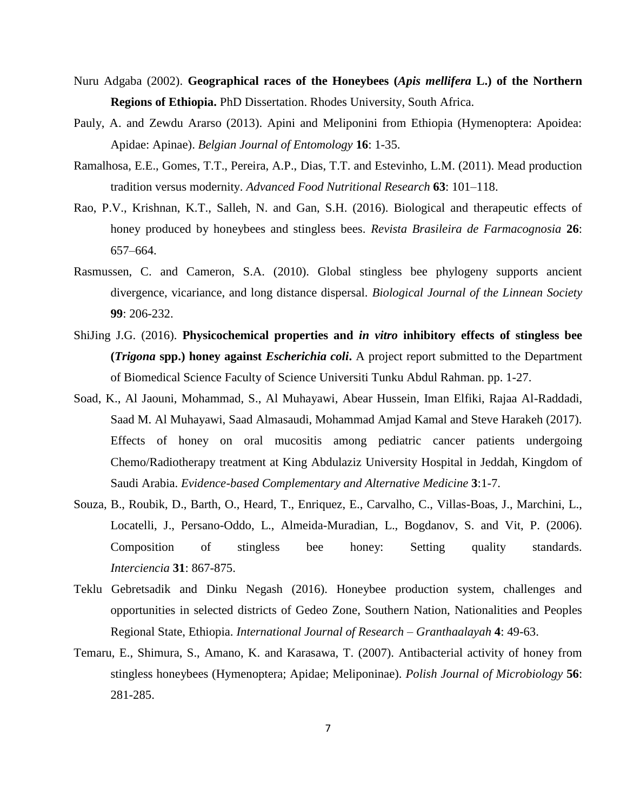- Nuru Adgaba (2002). **Geographical races of the Honeybees (***Apis mellifera* **L.) of the Northern Regions of Ethiopia.** PhD Dissertation. Rhodes University, South Africa.
- Pauly, A. and Zewdu Ararso (2013). Apini and Meliponini from Ethiopia (Hymenoptera: Apoidea: Apidae: Apinae). *Belgian Journal of Entomology* **16**: 1-35.
- Ramalhosa, E.E., Gomes, T.T., Pereira, A.P., Dias, T.T. and Estevinho, L.M. (2011). Mead production tradition versus modernity. *Advanced Food Nutritional Research* **63**: 101–118.
- Rao, P.V., Krishnan, K.T., Salleh, N. and Gan, S.H. (2016). Biological and therapeutic effects of honey produced by honeybees and stingless bees. *Revista Brasileira de Farmacognosia* **26**: 657–664.
- Rasmussen, C. and Cameron, S.A. (2010). Global stingless bee phylogeny supports ancient divergence, vicariance, and long distance dispersal. *Biological Journal of the Linnean Society*  **99**: 206-232.
- ShiJing J.G. (2016). **Physicochemical properties and** *in vitro* **inhibitory effects of stingless bee (***Trigona* **spp.) honey against** *Escherichia coli***.** A project report submitted to the Department of Biomedical Science Faculty of Science Universiti Tunku Abdul Rahman. pp. 1-27.
- Soad, K., Al Jaouni, Mohammad, S., Al Muhayawi, Abear Hussein, Iman Elfiki, Rajaa Al-Raddadi, Saad M. Al Muhayawi, Saad Almasaudi, Mohammad Amjad Kamal and Steve Harakeh (2017). Effects of honey on oral mucositis among pediatric cancer patients undergoing Chemo/Radiotherapy treatment at King Abdulaziz University Hospital in Jeddah, Kingdom of Saudi Arabia. *Evidence-based Complementary and Alternative Medicine* **3**:1-7.
- Souza, B., Roubik, D., Barth, O., Heard, T., Enriquez, E., Carvalho, C., Villas-Boas, J., Marchini, L., Locatelli, J., Persano-Oddo, L., Almeida-Muradian, L., Bogdanov, S. and Vit, P. (2006). Composition of stingless bee honey: Setting quality standards. *Interciencia* **31**: 867-875.
- Teklu Gebretsadik and Dinku Negash (2016). Honeybee production system, challenges and opportunities in selected districts of Gedeo Zone, Southern Nation, Nationalities and Peoples Regional State, Ethiopia. *International Journal of Research – Granthaalayah* **4**: 49-63.
- Temaru, E., Shimura, S., Amano, K. and Karasawa, T. (2007). Antibacterial activity of honey from stingless honeybees (Hymenoptera; Apidae; Meliponinae). *Polish Journal of Microbiology* **56**: 281-285.